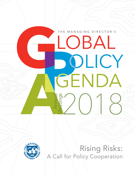### THE MANAGING DIRECTOR'S

GENDA

**DBAL** 

OLICY

2018

Rising Risks: A Call for Policy Cooperation

Annual

nigs

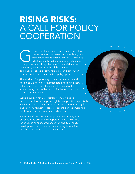## RISING RISKS: A CALL FOR POLICY **COOPERATION**

Iobal growth remains strong. The recovery has created jobs and increased incomes. But growt momentum is moderating. Previously identified risks have partly materialized or have become more pronounced. A rapid reversal in f created jobs and increased incomes. But growth momentum is moderating. Previously identified risks have partly materialized or have become conditions, ten years after the global financial crisis, could again expose debt vulnerabilities at a time when many countries have more limited policy space.

The window of opportunity to guard against risks and raise medium-term growth prospects is narrowing. Now is the time for policymakers to act to rebuild policy space, strengthen resilience, and implement structural reforms for the benefit of all.

Waning support for multilateralism is fueling policy uncertainty. However, improved global cooperation is precisely what is needed to boost inclusive growth by modernizing the trade system, reducing excess global imbalances, improving debt dynamics, and leveraging technology.

We will continue to review our policies and strategies to enhance Fund advice and support multilateralism. This includes surveillance, program conditionality, capacity development, debt limits, and anti-money laundering and the combatting of terrorism financing.

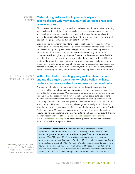### GLOBAL Materializing risks and policy uncertainty are testing the growth momentum. Medium-term prospects remain subdued. SETTING

Global growth remains strong but has become less even. Momentum is moderating amid trade tensions, higher oil prices, and market pressures on emerging market and developing economies, particularly those with weaker fundamentals and elevated political risks. Weak productivity growth, overdue economic reforms, and population aging continue to dampen potential growth.

Growing policy uncertainty may intensify economic headwinds with risks further shifting to the downside. In particular, a systemic escalation of trade tensions could seriously impact global growth while failing to address the causes of persistent excess external imbalances. As monetary normalization in major economies continues, a sudden tightening of global financial conditions could intensify shifts in capital flows and put growth at risk, especially where financial vulnerabilities have built up. Many countries have limited policy room to maneuver, including due to high and rising debt vulnerabilities. Challenges from unsustainable macroeconomic policies, inequality, weak trust in policymaking, technological innovations, climate change, demographic shifts, and migration are likely to persist in the medium term.

### POLICY ADVICE AND ECONOMIC ANALYSIS

### With vulnerabilities mounting, policy makers should act now and use the ongoing expansion to rebuild buffers, enhance resilience, and advance structural reforms for the benefit of all.

Countries should take action to manage risks and resolve policy uncertainties. The Fund will help members calibrate appropriate macroeconomic policy responses tailored to their circumstances. Where inflation is converging to target, monetary policy stimulus should be gradually withdrawn in a well-communicated, data-dependent manner. International reserve buffers should be preserved at adequate levels given potentially protracted capital outflow pressures. Many countries must reduce debt and rebuild fiscal buffers, avoid procyclicality, deliver growth-friendly fiscal policies, and raise the quality and governance of infrastructure, the latter supported by the Fund's Public Investment Management Assessment. Careful calibration of the policy mix should also help reduce large and sustained external imbalances in a growth-friendly manner. Recent analyses of fiscal space and public-sector balance sheets, the 2018 External Sector Report, and forthcoming work on drivers of natural real interest rates will inform policy advice.

*The External Sector Report (ESR) is the only multilaterally consistent assessment of countries' external positions, including current account balances, real exchange rates, external balance sheets, capital flows, and international reserves. The ESR covers 29 of the world's largest economies and the euro area—representing over 85 percent of global GDP. The 2018 ESR, using a refined methodology, shows that 40 to 50 percent of global current account balances are now deemed excessive (i.e., larger than warranted by countries' fundamentals and desirable polices). While imbalances have remained broadly unchanged in recent years, they are now increasingly concentrated in advanced economies.*

*Green highlighted text refers to selected key IMF activities that have been completed since October (see Annex).*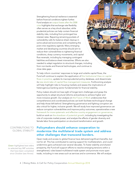Strengthening financial resilience is essential before financial conditions tighten further. Fund analysis on output losses after the 2008 crisis highlights that exchange rate flexibility often serves as a key shock absorber, while prudential policies can help contain financial stability risks, including from prolonged low interest rates. Repairing remaining pockets of vulnerability calls for balance sheet cleanup in some advanced economies and completing the post-crisis regulatory agenda. Many emerging market and developing countries should aim to reduce their vulnerabilities to tightening financial conditions, sharp currency movements, and capital flow reversals, including by managing contingent liabilities and balance sheet mismatches. Efforts are also needed to adapt regulation to structural changes, including from non-banks and financial technologies, and continue to close data gaps.

To help inform countries' responses to large and volatile capital flows, the Fund will continue to explain the application of the Institutional View on capital flows in practice, update its macroprudential policy database, and disseminate its new stock-take of capital flow management measures. Forthcoming analysis will help highlight risks to housing markets and assess the implications of heterogenous banking sector fundamentals for financial stability.

Policy makers should not lose sight of longer-term challenges and grasp the opportunity to adopt structural reforms and policies to achieve higher and more inclusive growth. Our analysis on the Future of Work underscores that comprehensive and coordinated policies can both facilitate technological change and help those left behind. Strengthening governance and fighting corruption are also critical for higher, inclusive growth. We will study how improved governance can reduce corruption vulnerabilities and improve policy outcomes; operationalize a new framework for more systematic and effective country engagement on governance; build on work on the slowdown of potential growth, including by investigating the role of corporate market power; and analyze the effects of gender diversity and female labor force participation on structural transformation and growth.

### CONTRIBUTIONS TO GLOBAL STABILITY

*Green highlighted text refers to selected key IMF activities that have been completed since October (see Annex).*

### Policymakers should enhance cooperation to modernize the multilateral trade system and address other challenges that transcend borders.

Open trade and access to global finance have delivered significant benefits, but not for all. This has contributed to waning support for multilateralism, and could undermine gains achieved over several decades. To foster stability and shared prosperity, the Fund will support efforts to resolve emerging tensions within a strengthened, rules-based multilateral trade system and promote more open trade, including in new areas such as services and e-commerce. We will analyze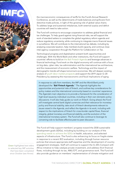the macroeconomic consequences of tariffs for the Fund's Annual Research Conference, as well as the determinants of trade balances and spillovers from distortive trade policies, in light of the growing role of global value chains. To address large and sustained imbalances, both external surplus and deficit countries will need to take action.

The Fund will continue to encourage cooperation to address global financial and tax challenges. To help guard against rising financial risks, we will support the work of standard setters to complete the global regulatory reform agenda and reduce regulatory uncertainty, while continuing to integrate macro-financial issues in surveillance. We will contribute to the international tax debate, including by analyzing corporate taxation, help members build capacity, and continue close inter-agency cooperation through the Platform for Collaboration on Tax.

Technological progress and digitalization present both opportunities and challenges. With the World Bank and other institutions, the Fund will support countries' efforts to build on the Bali Fintech Agenda and leverage advances in financial technology. Fund work on the digital economy will continue with a focus on big data, cyber risks, tax administration and the international tax architecture, and the measurement of economic welfare. Technology and the impact of demographic trends will shape tomorrow's economies. We will deepen existing analysis of youth labor market prospects and support the 2019 Japan G–20 Presidency by assessing the macroeconomic and fiscal implications of aging.

*In response to calls from members, the IMF and the World Bank jointly developed the "Bali Fintech Agenda." The Agenda highlights the opportunities and potential risks of fintech, and outlines key considerations for policy makers and the international community based on countries' experience. The Agenda's main objective is to provide a framework for the consideration of high-level issues by individual countries, including in their own domestic policy discussions. It will also help guide our work on fintech. Going ahead, the Fund will investigate central bank digital currencies and their relevance for monetary policy and financial stability, take stock of fintech developments relevant to issues raised in the Agenda, and reflect the Agenda in its work, including with*  respect to the implications of fintech for cross-border capital flows, financial *integrity, global monetary and financial stability, and the evolution of the international monetary system. The Fund will also continue to leverage its convening role to facilitate effective peer-to-peer discussion.*

The Fund will help support members' progress toward the 2030 sustainable development goals (SDGs), including by building on our analysis of the spending needs to achieve the SDGs in health, education, and selected aspects of infrastructure. The Fund is also enhancing its focus on fragile states in response to a recent IEO evaluation, including through human resource policies that ensure appropriate staff expertise and the development of country engagement strategies. Staff will continue to support the G–20's Compact with Africa initiative to help catalyze private investment, and address illicit financial flows, including through its tax, AML/CFT, and governance work. The Fund will also provide guidance on members' implementation of climate mitigation and

*Green highlighted text refers to selected key IMF activities that have been completed since October (see Annex).*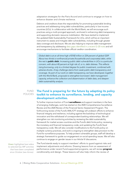adaptation strategies for the Paris Accord and continue to engage on how to enhance disaster and climate resilience.

Debtors and creditors share the responsibility for promoting sustainable lending practices and addressing rising debt vulnerabilities, particularly in low-income countries (LICs). In collaboration with the World Bank, we will encourage such practices using a multi-pronged approach, anchored in enhancing debt transparency and supporting domestic resource mobilization. We have started to implement the updated Debt Sustainability Framework for LICs, which will be an important instrument to assess and mitigate debt vulnerabilities, including through greater data coverage and disclosure. We are also helping to improve debt management and transparency by addressing data gaps identified in a recent G-20 note and will encourage mechanisms to facilitate official creditor coordination.

*Global debt is at an all-time high of \$182 trillion or 224 percent of global GDP. About two thirds is nonfinancial private (households and corporates) debt, while the rest is public debt. Increasing public debt vulnerabilities in LICs is a particular concern, with about 40 percent at high risk of, or in, debt distress. This reflects rising borrowing, only to a limited degree for public investment, combined with adverse shocks. A key challenge stems from weak public debt transparency and coverage. As part of our work on debt transparency, we have developed, together with the World Bank, proposals to strengthen borrowers' debt management capacity, enhance the collection and dissemination of debt data, and deepen debt sustainability analysis.* 

### FUND **POLICIES**

### The Fund is preparing for the future by adapting its policy toolkit to enhance its surveillance, lending, and capacity development activities.

To further improve traction of Fund **surveillance** and support members in the face of emerging challenges, work has started on the 2020 Comprehensive Surveillance Review and the 2020 Review of the Financial Sector Assessment Program. The forthcoming review of the Fund's AML/CFT strategy will underpin efforts to enhance financial integrity and resilience, including against the backdrop of technological innovation and the withdrawal of correspondent banking relationships. We will strengthen our risk monitoring activities by reviewing the debt sustainability framework for market access countries and the Fund's debt limits policy; reviewing the monetary and financial transparency code; and updating the Fund's fiscal transparency code. We will also consider modifications to the Fund's policy on multiple currency practices, and work is ongoing to strengthen data provision to the Fund for surveillance purposes. To help protect vulnerable groups, staff will develop a strategic framework to guide our engagement on social spending issues. We will also continue to engage on gender issues in our Article IV discussions.

*Green highlighted text refers to selected key IMF activities that have been completed since October (see Annex).*

The Fund stands ready to support members' efforts to guard against risks and implement adjustments and reforms. Drawing lessons from an assessment of performance under recent Fund-supported programs, we will review program conditionality and design. These lessons will also help inform the review of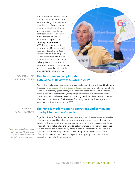our LIC facilities to better adapt them to members' needs. And we are working to enhance the effectiveness of our program engagement with small states and countries in fragile and conflict situations. The Fund is also making efforts to improve the impact of its

### capacity development

(CD) through the upcoming review of its CD strategy, with stronger integration of CD, surveillance, and lending, in a results-based framework with continued focus on innovative delivery. We will continue to strengthen strategic partnerships and create more flexible funding arrangements with partners.



#### The Fund aims to complete the 15th General Review of Quotas in 2019. GOVERNANCE AND FINANCING

Against the backdrop of increasing downside risks to global growth, and building on the recent progress report to the Board of Governors, the Fund will continue efforts to maintain a strong, quota-based, and adequately resourced IMF at the center of the global financial safety net, realigning quota shares with members' relative positions in the world economy while protecting the share of our poorest members. We aim to complete the 15th Review of Quotas by the Spring Meetings, and no later than the Annual Meetings, of 2019.

INTERNAL **ORGANIZATION** 

*Green highlighted text refers to selected key IMF activities that have been completed since October (see Annex).*

### The Fund is modernizing its operations and continuing to adapt to members' needs.

Together with the Fund's human resource strategy and the comprehensive review of compensation and benefits, our innovation strategy and new digital tools will supplement ongoing efforts to ensure an agile, diverse, and inclusive workforce. These efforts will also allow the Fund to better leverage institutional experience through knowledge management; improve data management in line with our data and statistics strategy; enhance CD management; and foster a culture of innovation. We will also maintain a prudent budgetary stance and further strengthen internal risk management.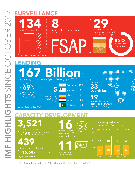### SURVEILLANCE



**financial stability assessments** under the

29 economies plus the euro area covered in the External Sector Report External Sector Report External Sector Report<br>
IMP Jul 18 Tackling Global Impact<br>
IMP Jul 18 Tackling Trade Tensions Jul 18 Tackling Trade Tensions Jul 18 Tackling Trade Tensions Jul 18 Tacklin<br>
IMP July 18 Tackline Tensions July 18 Tackline Ten

*\*October 2017 to September 2018*

reviews

*\*As of end–September, 2018*



largest outstanding GRA credit (SDR bn)

Lending to 33 countries

19 of which have a Poverty Reduction and Growth

of global GDP 85%

represented

Trust (PRGT) facility



Ukraine 7.4

Egypt 5.7

Pakistan 4.3

8 | Rising Risks: A Call for Policy Cooperation Annual Meetings 2018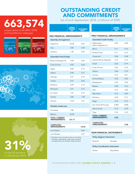# 663,574

unique visitors of the WEO, GFSR, and Fiscal Monitor webpages







### OUTSTANDING CREDIT AND COMMITMENTS

(as of end–September, 2018, in billions of SDR)1

| <b>CURRENT</b> |                    |
|----------------|--------------------|
| <b>PROGRAM</b> | <b>OUTSTANDING</b> |
| <b>SIZE</b>    | <b>CREDIT 2</b>    |

### GRA FINANCIAL ARRANGEMENTS

#### *Stand-by Arrangement*

|           | 35.38 | 10.61 |
|-----------|-------|-------|
| Argentina |       |       |
| Iraq      | 3.83  | 2.39  |
| Jamaica   | 1,20  | 0.53  |

### *Extended Fund Facility*

| Bosnia-Herzegovina | 0.44  | 0.23 |
|--------------------|-------|------|
| Cote d'Ivoire      | 0.43  | 0.24 |
| Egypt              | 8.60  | 5.73 |
| Gabon              | 046   | 0.21 |
| Georgia            | 0.21  | 0.14 |
| Jordan             | 0.51  | 0.65 |
| Moldova            | 0.09  | 0.13 |
| Mongolia           | 0.31  | 0.13 |
| Sri Lanka          | 1.07  | 0.72 |
| Tunisia            | 2.05  | 1.28 |
| Ukraine            | 12.35 | 7.41 |

### *Flexible Credit Line*

| 137.17 |
|--------|
| 62.39  |
| 785    |
|        |

| <b>COMPLETED</b><br><b>ARRANGEMENTS</b> | 18.34 |
|-----------------------------------------|-------|
| o/w Greece                              | 844   |
| o/w Pakistan                            | 4 27  |

1/ Numbers may not add up due to rounding.  $2<sup>2</sup>$  Includes outstanding credit under expired arrangements and outright disbursements.

| <b>CURRENT</b><br><b>PROGRAM</b><br><b>SIZE</b> | <b>OUTSTANDING</b><br><b>CREDIT<sup>2</sup></b> |
|-------------------------------------------------|-------------------------------------------------|
|                                                 |                                                 |

### PRGT FINANCIAL ARRANGEMENTS

| <b>Extended Credit Facility</b>             |       |       |  |  |
|---------------------------------------------|-------|-------|--|--|
| Afghanistan,<br>Islamic Republic of         | 0.03  | 0.04  |  |  |
| Benin                                       | 0.11  | 0.10  |  |  |
| Burkina Faso                                | 0.11  | 0.15  |  |  |
| Cameroon                                    | 0.48  | 0.28  |  |  |
| Central African Republic                    | 0.13  | 0.13  |  |  |
| Chad                                        | 0.22  | 0.19  |  |  |
| Cote d'Ivoire                               | 0.22  | 0.70  |  |  |
| Ghana                                       | 0.66  | 0.75  |  |  |
| Guinea                                      | 0.12  | 0.21  |  |  |
| Guinea-Bissau                               | 0.02  | 0.02  |  |  |
| Madagascar                                  | 0.25  | 0.22  |  |  |
| Malawi                                      | 0.08  | 0.16  |  |  |
| Mali                                        | 0.19  | 0.20  |  |  |
| Mauritania                                  | 0.12  | 0.09  |  |  |
| Moldova                                     | 0.04  | 0.12  |  |  |
| Niger                                       | 0.10  | 0.15  |  |  |
| Sao Tome & Principe                         | 0.004 | 0.005 |  |  |
| Sierra Leone                                | 0.16  | 0.25  |  |  |
| Togo                                        | 0.18  | 0.10  |  |  |
| <b>TOTAL CURRENT</b><br><b>ARRANGEMENTS</b> | 3.23  |       |  |  |
|                                             |       |       |  |  |
| <b>COMPLETED</b><br>ARRANGEMENTS            |       | 2.58  |  |  |

### NON-FINANCIAL INSTRUMENTS

| <b>Policy Support Instrument</b>      |            |
|---------------------------------------|------------|
| Rwanda                                | Senegal    |
| <b>Policy Coordination Instrument</b> |            |
| Serbia                                | Seychelles |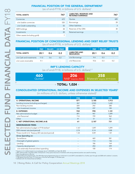### FINANCIAL POSITION OF THE GENERAL DEPARTMENT

(as of end-FY18, in billions of U.S. dollars)1

| <b>TOTAL ASSETS</b>           | 747 | LIABILITIES, RESERVES AND<br><b>RETAINED EARNINGS</b> | 747           |
|-------------------------------|-----|-------------------------------------------------------|---------------|
| Currencies                    | 672 | Quotas                                                | 685           |
| o/w Usable currencies         | 520 | <b>Borrowings</b>                                     | 28            |
| o/w Credit outstanding        | 55  | Other liabilities                                     | $\mathcal{E}$ |
| SDR holdings                  | 38  | Reserves of the GRA                                   | 30            |
| Investments                   | 30  | Retained earnings                                     |               |
| Other assets (including gold) |     |                                                       |               |

### FINANCIAL POSITION OF CONCESSIONAL LENDING AND DEBT RELIEF TRUSTS (as of end-FY18, in billions of U.S. dollars)1

|                          | <b>PRGT</b> | <b>PRG-HIPC</b> | <b>CCR TRUST</b> |                                            | <b>PRGT</b> | <b>PRG-HIPC</b> | <b>CCR TRUST</b> |
|--------------------------|-------------|-----------------|------------------|--------------------------------------------|-------------|-----------------|------------------|
| <b>TOTAL ASSETS</b>      | 20.1        | 0.6             | 0.2              | <b>LIABILITIES AND</b><br><b>RESOURCES</b> | 20.1        | 0.6             | 0.2              |
| o/w Cash and investments | 11.0        | 0.6             | 0.2              | o/w Borrowings                             | 9.4         | 0.3             |                  |
| o/w Loans receivable     | 91          | ۰               | ۰                | o/w Resources                              | 10.6        | 0.3             | 0.2              |

### IMF'S LENDING CAPACITY

(as of end-FY18, in billions of U.S. dollars) $1,2$ 

| 460<br>Quotas <sup>21</sup> | 206 | 358<br>$\log 1$ NAB <sup>3</sup> (expires 2022)   Bilaterals <sup>4</sup> (expire 2019/2020) |
|-----------------------------|-----|----------------------------------------------------------------------------------------------|
|-----------------------------|-----|----------------------------------------------------------------------------------------------|

### $\circ$  TOTAL: 1,024  $\circ$

### CONSOLIDATED OPERATIONAL INCOME AND EXPENSES IN SELECTED YEARS5

(in millions of U.S. dollars, unless otherwise stated)<sup>1</sup>

|                                                        | <b>FY08</b> | <b>FY12</b> | <b>FY18</b> |
|--------------------------------------------------------|-------------|-------------|-------------|
| A. OPERATIONAL INCOME                                  | 871         | 3,185       | 1,912       |
| Lending income (including surcharges)                  | 267         | 2,943       | 1,632       |
| Non-lending income                                     | 604         | 242         | 280         |
| o/w Investment income                                  | 598         | 237         | 185         |
| <b>B. EXPENSES</b>                                     | 932         | 998         | 1,181       |
| Net administrative budget                              | 891         | 947         | 1,099       |
| o/w Personnel                                          | 714         | 799         | 962         |
| Other                                                  | 41          | 51          | 82          |
| C. NET OPERATIONAL INCOME (A-B)                        | $-61$       | 2,187       | 731         |
| <b>MEMORANDUM ITEMS:</b>                               |             |             |             |
| Net administrative budget in FY18 dollars <sup>6</sup> | 1,167       | 1,097       | 1,099       |
| SDR interest rate (end-period)                         | 2.74        | 0.14        | 0.88        |
| Three-month U.S. Treasury Bill rate (end-period)       | 1.33        | 0.09        | 1.81        |
| Gross Spending on:                                     |             |             |             |
| Surveillance                                           |             | 469         | 581         |
| Oversight of global systems                            |             | 113         | 136         |
| Lending                                                |             | 186         | 164         |
| Capacity development                                   |             | 253         | 399         |
| o/w externally financed direct spending                |             | 100         | 174         |

<sup>1/</sup> Figures in U.S. dollars based on an exchange rate of 1.44 \$/SDR as of April 30, 2018.<br><sup>2/</sup> After setting aside a liquidity buffer of 20 percent. Only quota resources of members with strong external position are used f

3/ New Arrangements to Borrow.

« Bilateral Borrowing Agreements. The 2016 Borrowing Agreements have an initial term to end-2019, extendable for a further year through end-2020 with creditors' consents.<br>§ FY08-global financial crisis; FY12-first year of

6/ Deflated with the Global External Deflator.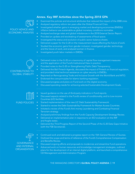### Annex. Key IMF Activities since the Spring 2018 GPA



ECONOMIC ANALYSIS

CONTRIBUTIONS TO GLOBAL STABILITY Examined the policies and structural attributes that reduced the impact of the 2008 crisis.

- Analyzed regulatory reform ten years after the Global Financial Crisis.
- Investigated whether gains in emerging market and developing economies (EMDEs) inflation behavior are sustainable as global monetary conditions normalize.
- Analyzed exchange rates and global imbalances in the 2018 External Sector Report.
- Provided an update and stocktaking of assessments of fiscal space.
- Investigated the status and evolution of public sector balance sheets.
- Delivered a paper for the G-20 on the measurement issues affecting the future of work.
- Studied the economic gains from gender inclusion; investigated gender, technology and the future of work; and analyzed women in finance.
- Investigated youth labor markets in EMDEs.
- Delivered notes to the G-20 on a taxonomy of capital flow management measures and the application of the Fund's Institutional View in practice.
- Provided notes to the G-20 on Strengthening Public Debt Transparency.
- Delivered the Bali Fintech Agenda, discussed the impact of Fintech on financial regulation, and provided initial technical assistance on cyber security in EMDEs.
- Reported on Reinvigorating Trade and Inclusive Growth with the World Bank and WTO.
- Endorsed the core principles for Islamic banking regulation.
- Discussed progress and plans on Fund work on the digital economy.
- Discussed spending needs for achieving selected Sustainable Development Goals.
- 

FUND POLICIES

- Issued guidance on the use of third-party indicators in Fund reports.
- Discussed aspects related to the Fund's review of conditionality, and to Low-income Countries (LIC) facilities.
- Started implementation of the new LIC Debt Sustainability Framework.
	- Started to review the Debt Sustainability Framework for Market Access Countries.
- Initiated a review of the Fund's Anti-money Laundering and Combating Financial Terrorism strategy.
- Analyzed preliminary findings from the Fund's Capacity Development Strategy Review.
- Delivered an implementation plan in response to an IEO evaluation on the IMF and fragile states.
- Delivered the Third Progress Report of the Second Phase of the G-20 Data Gaps Initiative (with the FSB Secretariat).
- 

**GOVERNANCE** AND INTERNAL **ORGANIZATION** 

- Continued work and delivered a progress report on the 15th General Review of Quotas.
	- Outlined the scope and terms of reference of the Fund's Comprehensive Compensation and Benefits Review.
	- Discussed ongoing efforts and proposals to modernize and streamline Fund operations.
		- Advanced work on human resources and knowledge management strategies, outlined plans for the development of an internal digital platform, and launched a comprehensive CD Management and Administration Program.